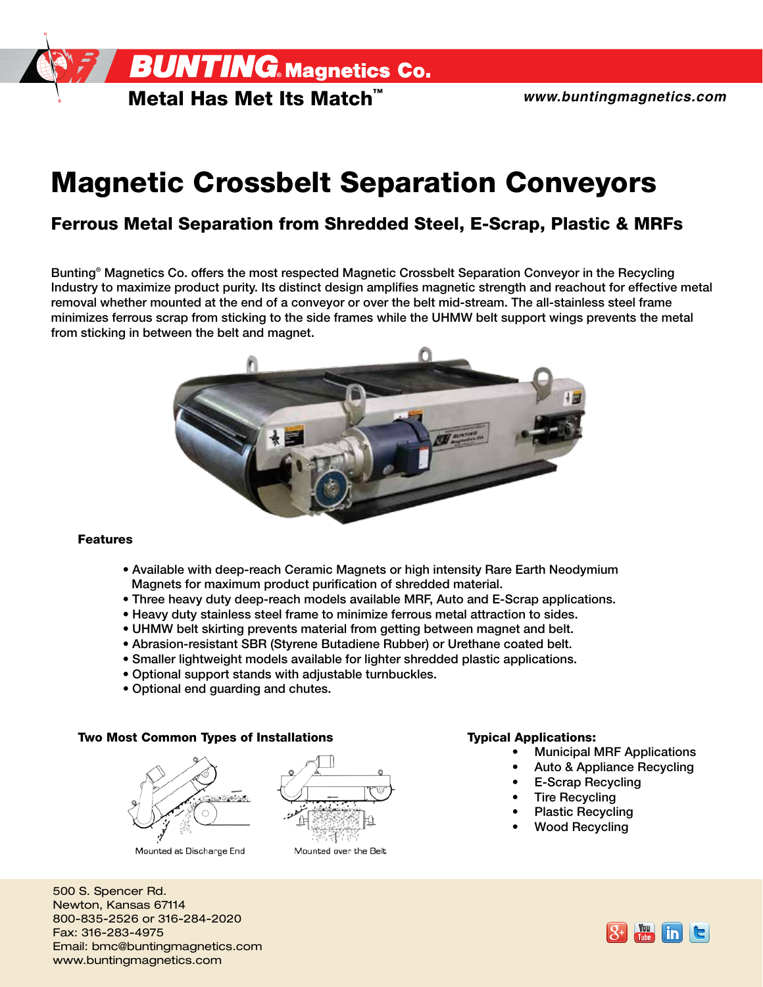**BUNTING.** Magnetics Co.

Metal Has Met Its Match™

# **Magnetic Crossbelt Separation Conveyors**

### Ferrous Metal Separation from Shredded Steel, E-Scrap, Plastic & MRFs

Bunting® Magnetics Co. offers the most respected Magnetic Crossbelt Separation Conveyor in the Recycling Industry to maximize product purity. Its distinct design amplifies magnetic strength and reachout for effective metal removal whether mounted at the end of a conveyor or over the belt mid-stream. The all-stainless steel frame minimizes ferrous scrap from sticking to the side frames while the UHMW belt support wings prevents the metal from sticking in between the belt and magnet.



#### Features

- Available with deep-reach Ceramic Magnets or high intensity Rare Earth Neodymium Magnets for maximum product purification of shredded material.
- Three heavy duty deep-reach models available MRF, Auto and E-Scrap applications.
- Heavy duty stainless steel frame to minimize ferrous metal attraction to sides.
- UHMW belt skirting prevents material from getting between magnet and belt.
- Abrasion-resistant SBR (Styrene Butadiene Rubber) or Urethane coated belt.
- Smaller lightweight models available for lighter shredded plastic applications.
- Optional support stands with adjustable turnbuckles.
- Optional end guarding and chutes.

### Two Most Common Types of Installations Typical Applications:



Mounted at Discharge End



Mounted over the Belt

- Municipal MRF Applications
- Auto & Appliance Recycling
- E-Scrap Recycling
- **Tire Recycling**
- Plastic Recycling
- Wood Recycling

500 S. Spencer Rd. Newton, Kansas 67114 800-835-2526 or 316-284-2020 Fax: 316-283-4975 Email: bmc@buntingmagnetics.com www.buntingmagnetics.com